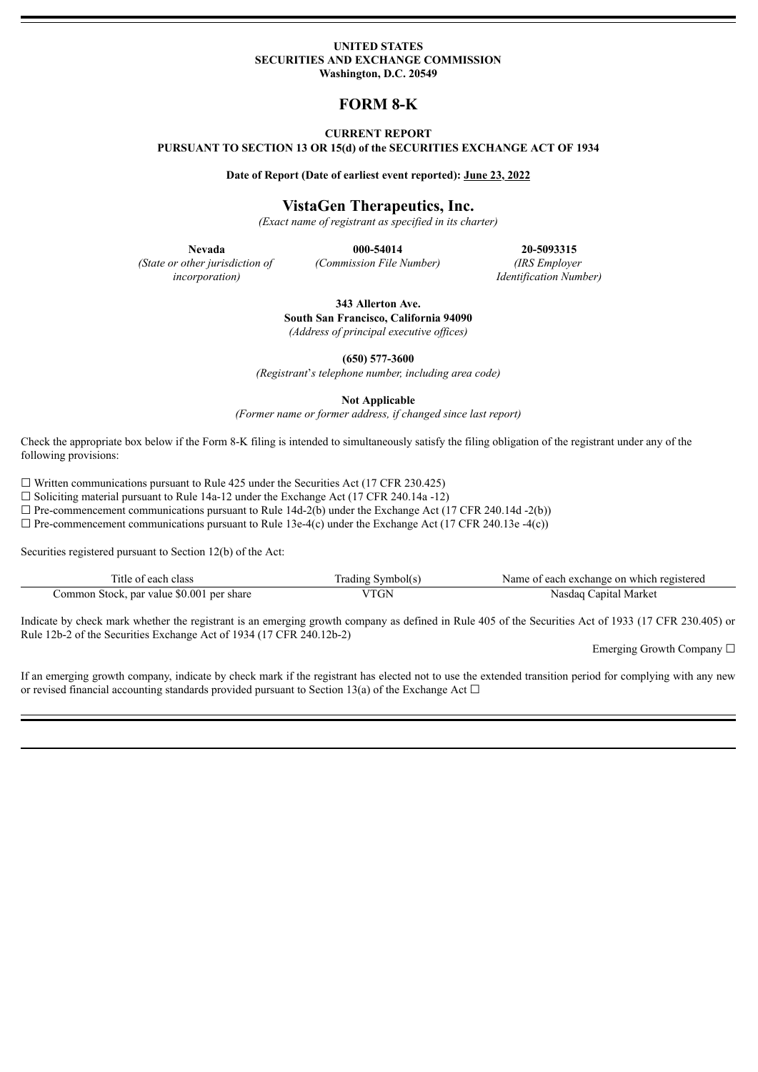#### **UNITED STATES SECURITIES AND EXCHANGE COMMISSION Washington, D.C. 20549**

## **FORM 8-K**

### **CURRENT REPORT**

**PURSUANT TO SECTION 13 OR 15(d) of the SECURITIES EXCHANGE ACT OF 1934**

**Date of Report (Date of earliest event reported): June 23, 2022**

### **VistaGen Therapeutics, Inc.**

*(Exact name of registrant as specified in its charter)*

*(State or other jurisdiction of incorporation)*

**Nevada 000-54014 20-5093315** *(Commission File Number) (IRS Employer Identification Number)*

> **343 Allerton Ave. South San Francisco, California 94090** *(Address of principal executive of ices)*

> > **(650) 577-3600**

*(Registrant*'*s telephone number, including area code)*

**Not Applicable**

*(Former name or former address, if changed since last report)*

Check the appropriate box below if the Form 8-K filing is intended to simultaneously satisfy the filing obligation of the registrant under any of the following provisions:

 $\Box$  Written communications pursuant to Rule 425 under the Securities Act (17 CFR 230.425)

 $\Box$  Soliciting material pursuant to Rule 14a-12 under the Exchange Act (17 CFR 240.14a -12)

 $\Box$  Pre-commencement communications pursuant to Rule 14d-2(b) under the Exchange Act (17 CFR 240.14d -2(b))

 $\Box$  Pre-commencement communications pursuant to Rule 13e-4(c) under the Exchange Act (17 CFR 240.13e -4(c))

Securities registered pursuant to Section 12(b) of the Act:

| ---<br>each class<br>. itie                       | ,ymbol(s'<br>rading | registereg<br>Name<br>t each exchange on t<br>which<br>nt. |
|---------------------------------------------------|---------------------|------------------------------------------------------------|
| \$0.001 per share<br>par value<br>Common Stock, r | TT<br>GN            | Capital Market<br>Nasdaq                                   |

Indicate by check mark whether the registrant is an emerging growth company as defined in Rule 405 of the Securities Act of 1933 (17 CFR 230.405) or Rule 12b-2 of the Securities Exchange Act of 1934 (17 CFR 240.12b-2)

Emerging Growth Company ☐

If an emerging growth company, indicate by check mark if the registrant has elected not to use the extended transition period for complying with any new or revised financial accounting standards provided pursuant to Section 13(a) of the Exchange Act  $\Box$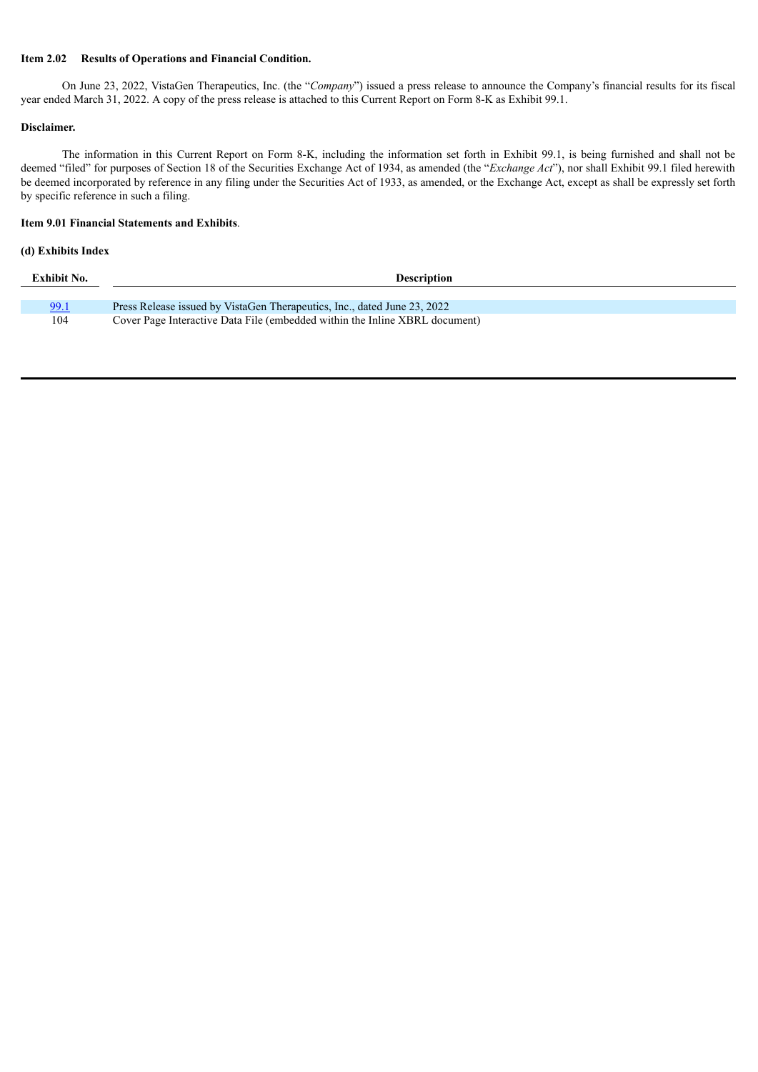### **Item 2.02 Results of Operations and Financial Condition.**

On June 23, 2022, VistaGen Therapeutics, Inc. (the "*Company*") issued a press release to announce the Company's financial results for its fiscal year ended March 31, 2022. A copy of the press release is attached to this Current Report on Form 8-K as Exhibit 99.1.

### **Disclaimer.**

The information in this Current Report on Form 8-K, including the information set forth in Exhibit 99.1, is being furnished and shall not be deemed "filed" for purposes of Section 18 of the Securities Exchange Act of 1934, as amended (the "*Exchange Act*"), nor shall Exhibit 99.1 filed herewith be deemed incorporated by reference in any filing under the Securities Act of 1933, as amended, or the Exchange Act, except as shall be expressly set forth by specific reference in such a filing.

### **Item 9.01 Financial Statements and Exhibits**.

## **(d) Exhibits Index**

| <b>Exhibit No.</b> | <b>Description</b>                                                          |  |  |
|--------------------|-----------------------------------------------------------------------------|--|--|
|                    |                                                                             |  |  |
| 99.1               | Press Release issued by VistaGen Therapeutics, Inc., dated June 23, 2022    |  |  |
| 104                | Cover Page Interactive Data File (embedded within the Inline XBRL document) |  |  |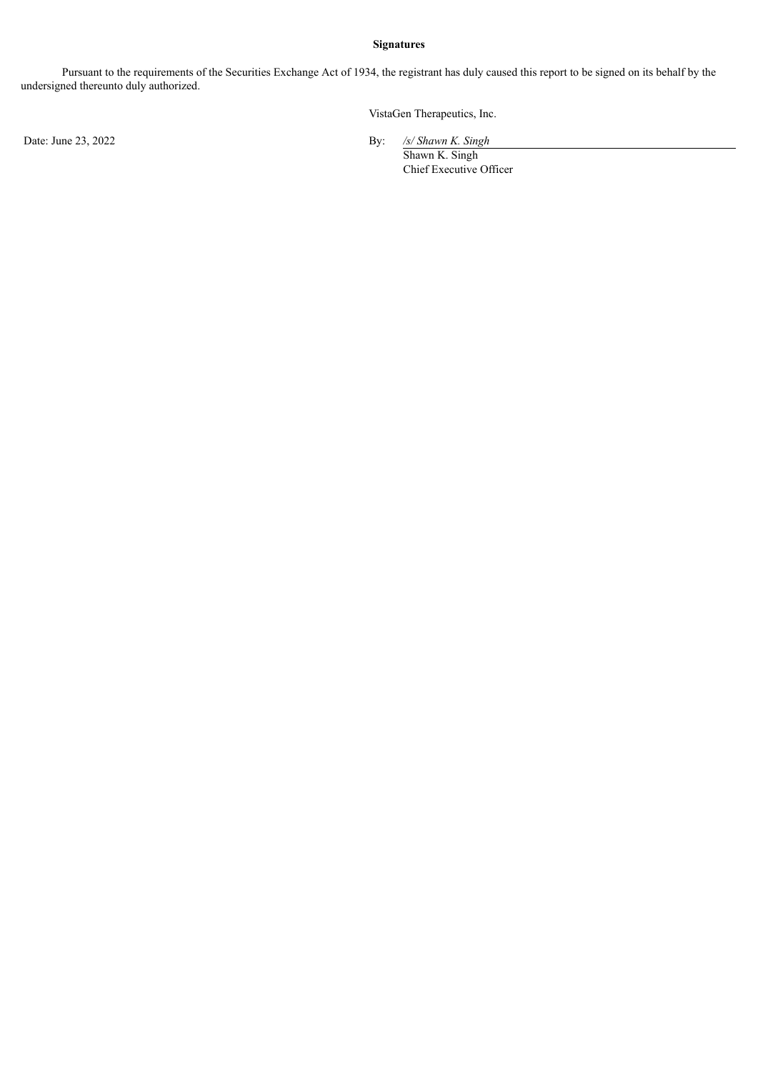### **Signatures**

Pursuant to the requirements of the Securities Exchange Act of 1934, the registrant has duly caused this report to be signed on its behalf by the undersigned thereunto duly authorized.

VistaGen Therapeutics, Inc.

Date: June 23, 2022 **By: By: Shawna** *By***: Shawna** *By***: Shawna** *By***: Shawna** *By***: Shawna** *By***: Shawna** *By***: Shawna** *By***: Shawna** *By***: Shawna** *By***: Shawna** *By***: Shawna** *By***: By: Shawna <b>By: By:** 

 $\frac{\sqrt{s}}{\text{Shawn K. Singh}}$ Chief Executive Officer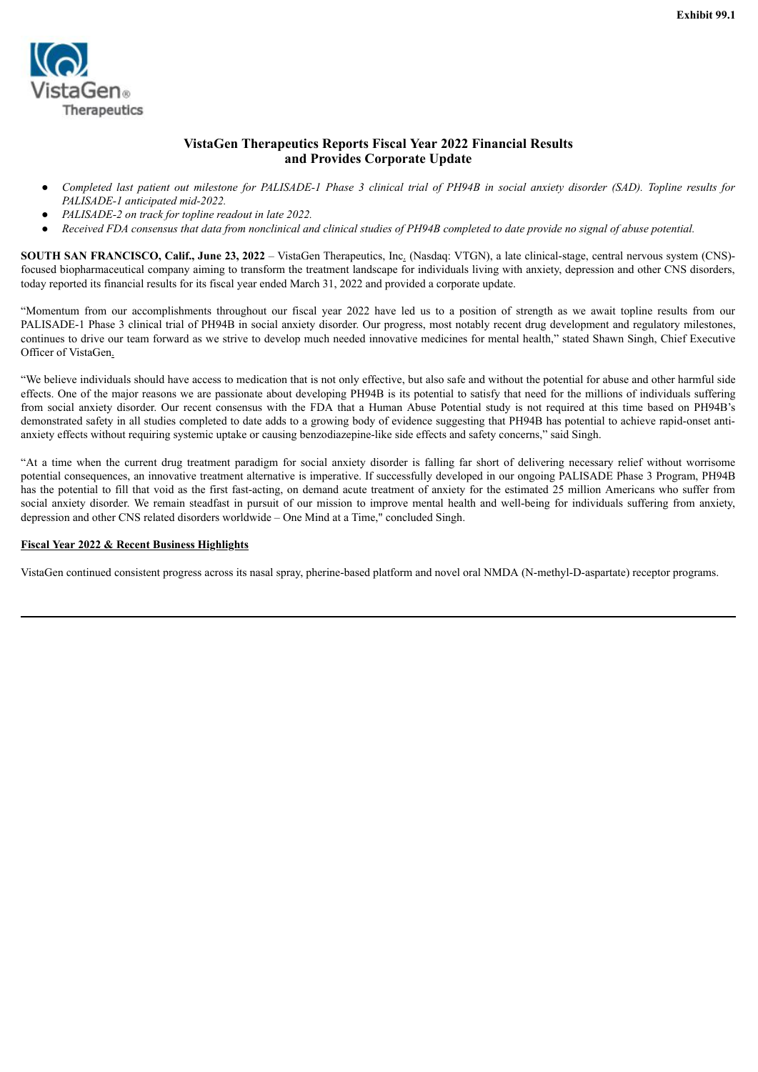<span id="page-3-0"></span>

## **VistaGen Therapeutics Reports Fiscal Year 2022 Financial Results and Provides Corporate Update**

- Completed last patient out milestone for PALISADE-1 Phase 3 clinical trial of PH94B in social anxiety disorder (SAD). Topline results for *PALISADE-1 anticipated mid-2022.*
- *PALISADE-2 on track for topline readout in late 2022.*
- Received FDA consensus that data from nonclinical and clinical studies of PH94B completed to date provide no signal of abuse potential.

**SOUTH SAN FRANCISCO, Calif., June 23, 2022** – VistaGen Therapeutics, Inc. (Nasdaq: VTGN), a late clinical-stage, central nervous system (CNS) focused biopharmaceutical company aiming to transform the treatment landscape for individuals living with anxiety, depression and other CNS disorders, today reported its financial results for its fiscal year ended March 31, 2022 and provided a corporate update.

"Momentum from our accomplishments throughout our fiscal year 2022 have led us to a position of strength as we await topline results from our PALISADE-1 Phase 3 clinical trial of PH94B in social anxiety disorder. Our progress, most notably recent drug development and regulatory milestones, continues to drive our team forward as we strive to develop much needed innovative medicines for mental health," stated Shawn Singh, Chief Executive Officer of VistaGen.

"We believe individuals should have access to medication that is not only effective, but also safe and without the potential for abuse and other harmful side effects. One of the major reasons we are passionate about developing PH94B is its potential to satisfy that need for the millions of individuals suffering from social anxiety disorder. Our recent consensus with the FDA that a Human Abuse Potential study is not required at this time based on PH94B's demonstrated safety in all studies completed to date adds to a growing body of evidence suggesting that PH94B has potential to achieve rapid-onset antianxiety effects without requiring systemic uptake or causing benzodiazepine-like side effects and safety concerns," said Singh.

"At a time when the current drug treatment paradigm for social anxiety disorder is falling far short of delivering necessary relief without worrisome potential consequences, an innovative treatment alternative is imperative. If successfully developed in our ongoing PALISADE Phase 3 Program, PH94B has the potential to fill that void as the first fast-acting, on demand acute treatment of anxiety for the estimated 25 million Americans who suffer from social anxiety disorder. We remain steadfast in pursuit of our mission to improve mental health and well-being for individuals suffering from anxiety, depression and other CNS related disorders worldwide – One Mind at a Time," concluded Singh.

### **Fiscal Year 2022 & Recent Business Highlights**

VistaGen continued consistent progress across its nasal spray, pherine-based platform and novel oral NMDA (N-methyl-D-aspartate) receptor programs.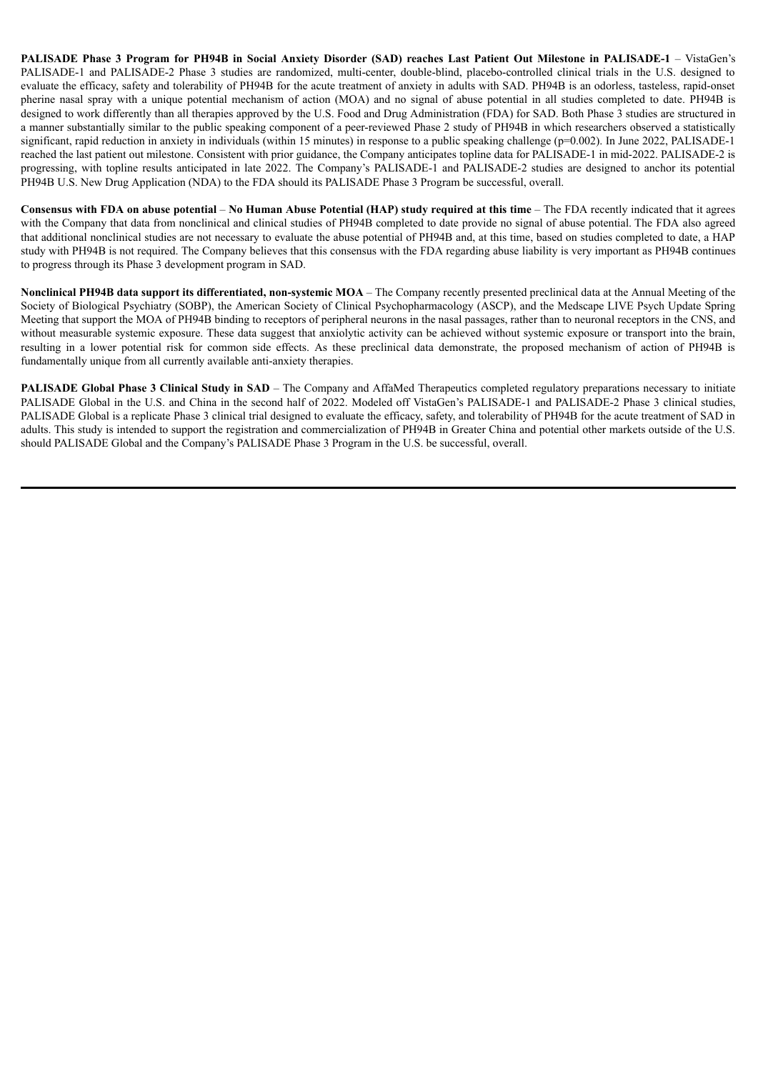PALISADE Phase 3 Program for PH94B in Social Anxiety Disorder (SAD) reaches Last Patient Out Milestone in PALISADE-1 - VistaGen's PALISADE-1 and PALISADE-2 Phase 3 studies are randomized, multi-center, double-blind, placebo-controlled clinical trials in the U.S. designed to evaluate the efficacy, safety and tolerability of PH94B for the acute treatment of anxiety in adults with SAD. PH94B is an odorless, tasteless, rapid-onset pherine nasal spray with a unique potential mechanism of action (MOA) and no signal of abuse potential in all studies completed to date. PH94B is designed to work differently than all therapies approved by the U.S. Food and Drug Administration (FDA) for SAD. Both Phase 3 studies are structured in a manner substantially similar to the public speaking component of a peer-reviewed Phase 2 study of PH94B in which researchers observed a statistically significant, rapid reduction in anxiety in individuals (within 15 minutes) in response to a public speaking challenge (p=0.002). In June 2022, PALISADE-1 reached the last patient out milestone. Consistent with prior guidance, the Company anticipates topline data for PALISADE-1 in mid-2022. PALISADE-2 is progressing, with topline results anticipated in late 2022. The Company's PALISADE-1 and PALISADE-2 studies are designed to anchor its potential PH94B U.S. New Drug Application (NDA) to the FDA should its PALISADE Phase 3 Program be successful, overall.

Consensus with FDA on abuse potential  $-$  No Human Abuse Potential (HAP) study required at this time  $-$  The FDA recently indicated that it agrees with the Company that data from nonclinical and clinical studies of PH94B completed to date provide no signal of abuse potential. The FDA also agreed that additional nonclinical studies are not necessary to evaluate the abuse potential of PH94B and, at this time, based on studies completed to date, a HAP study with PH94B is not required. The Company believes that this consensus with the FDA regarding abuse liability is very important as PH94B continues to progress through its Phase 3 development program in SAD.

**Nonclinical PH94B data support its differentiated, non-systemic MOA** – The Company recently presented preclinical data at the Annual Meeting of the Society of Biological Psychiatry (SOBP), the American Society of Clinical Psychopharmacology (ASCP), and the Medscape LIVE Psych Update Spring Meeting that support the MOA of PH94B binding to receptors of peripheral neurons in the nasal passages, rather than to neuronal receptors in the CNS, and without measurable systemic exposure. These data suggest that anxiolytic activity can be achieved without systemic exposure or transport into the brain, resulting in a lower potential risk for common side effects. As these preclinical data demonstrate, the proposed mechanism of action of PH94B is fundamentally unique from all currently available anti-anxiety therapies.

**PALISADE Global Phase 3 Clinical Study in SAD** – The Company and AffaMed Therapeutics completed regulatory preparations necessary to initiate PALISADE Global in the U.S. and China in the second half of 2022. Modeled off VistaGen's PALISADE-1 and PALISADE-2 Phase 3 clinical studies, PALISADE Global is a replicate Phase 3 clinical trial designed to evaluate the efficacy, safety, and tolerability of PH94B for the acute treatment of SAD in adults. This study is intended to support the registration and commercialization of PH94B in Greater China and potential other markets outside of the U.S. should PALISADE Global and the Company's PALISADE Phase 3 Program in the U.S. be successful, overall.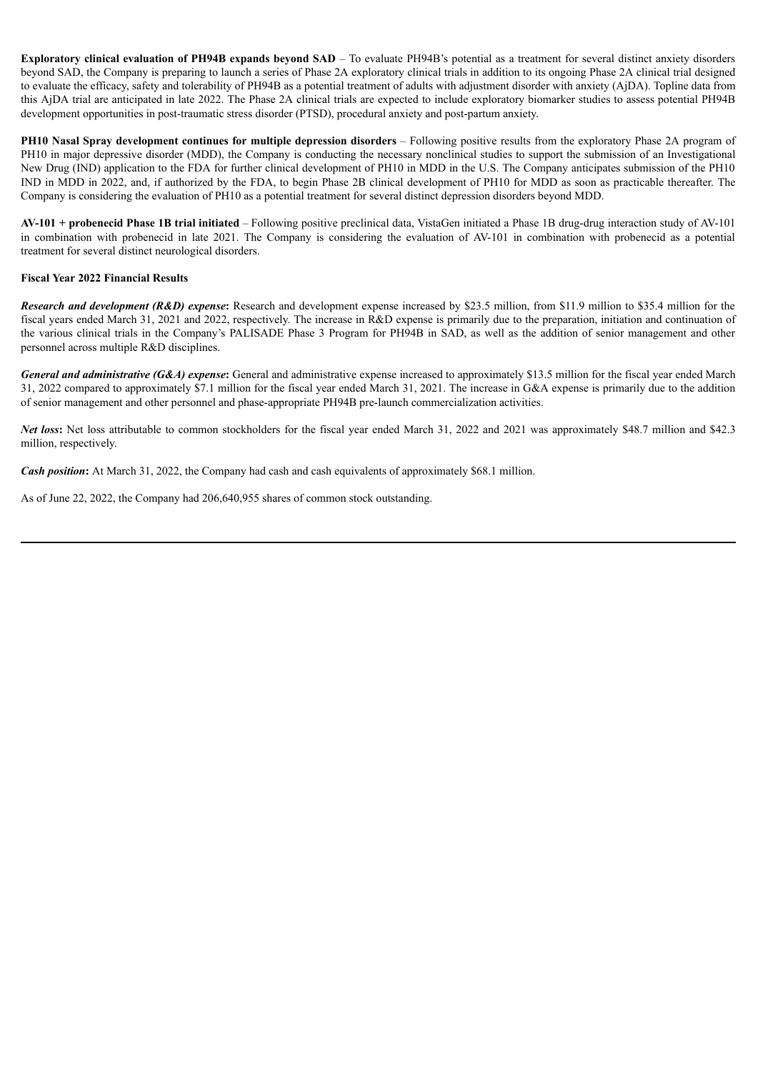**Exploratory clinical evaluation of PH94B expands beyond SAD** – To evaluate PH94B's potential as a treatment for several distinct anxiety disorders beyond SAD, the Company is preparing to launch a series of Phase 2A exploratory clinical trials in addition to its ongoing Phase 2A clinical trial designed to evaluate the efficacy, safety and tolerability of PH94B as a potential treatment of adults with adjustment disorder with anxiety (AjDA). Topline data from this AjDA trial are anticipated in late 2022. The Phase 2A clinical trials are expected to include exploratory biomarker studies to assess potential PH94B development opportunities in post-traumatic stress disorder (PTSD), procedural anxiety and post-partum anxiety.

**PH10 Nasal Spray development continues for multiple depression disorders** – Following positive results from the exploratory Phase 2A program of PH10 in major depressive disorder (MDD), the Company is conducting the necessary nonclinical studies to support the submission of an Investigational New Drug (IND) application to the FDA for further clinical development of PH10 in MDD in the U.S. The Company anticipates submission of the PH10 IND in MDD in 2022, and, if authorized by the FDA, to begin Phase 2B clinical development of PH10 for MDD as soon as practicable thereafter. The Company is considering the evaluation of PH10 as a potential treatment for several distinct depression disorders beyond MDD.

**AV-101 + probenecid Phase 1B trial initiated** – Following positive preclinical data, VistaGen initiated a Phase 1B drug-drug interaction study of AV-101 in combination with probenecid in late 2021. The Company is considering the evaluation of AV-101 in combination with probenecid as a potential treatment for several distinct neurological disorders.

### **Fiscal Year 2022 Financial Results**

*Research and development (R&D) expense***:** Research and development expense increased by \$23.5 million, from \$11.9 million to \$35.4 million for the fiscal years ended March 31, 2021 and 2022, respectively. The increase in R&D expense is primarily due to the preparation, initiation and continuation of the various clinical trials in the Company's PALISADE Phase 3 Program for PH94B in SAD, as well as the addition of senior management and other personnel across multiple R&D disciplines.

*General and administrative (G&A) expense***:** General and administrative expense increased to approximately \$13.5 million for the fiscal year ended March 31, 2022 compared to approximately \$7.1 million for the fiscal year ended March 31, 2021. The increase in G&A expense is primarily due to the addition of senior management and other personnel and phase-appropriate PH94B pre-launch commercialization activities.

*Net loss*: Net loss attributable to common stockholders for the fiscal year ended March 31, 2022 and 2021 was approximately \$48.7 million and \$42.3 million, respectively.

*Cash position***:** At March 31, 2022, the Company had cash and cash equivalents of approximately \$68.1 million.

As of June 22, 2022, the Company had 206,640,955 shares of common stock outstanding.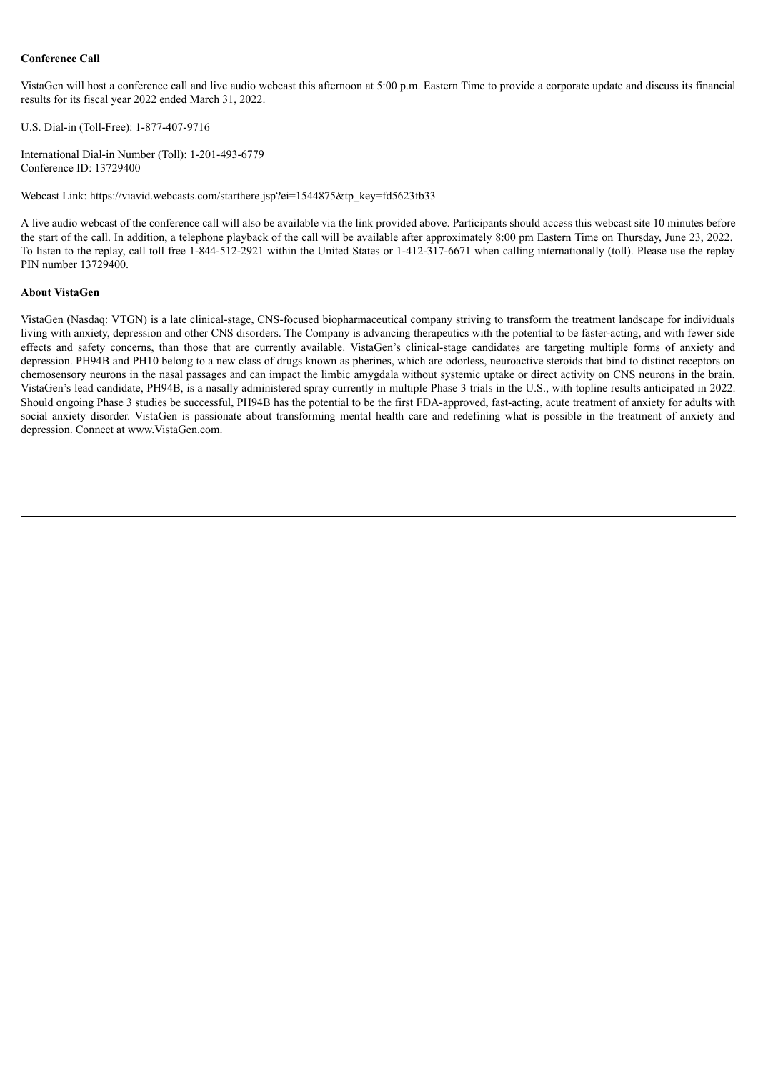### **Conference Call**

VistaGen will host a conference call and live audio webcast this afternoon at 5:00 p.m. Eastern Time to provide a corporate update and discuss its financial results for its fiscal year 2022 ended March 31, 2022.

U.S. Dial-in (Toll-Free): 1-877-407-9716

International Dial-in Number (Toll): 1-201-493-6779 Conference ID: 13729400

Webcast Link: https://viavid.webcasts.com/starthere.jsp?ei=1544875&tp\_key=fd5623fb33

A live audio webcast of the conference call will also be available via the link provided above. Participants should access this webcast site 10 minutes before the start of the call. In addition, a telephone playback of the call will be available after approximately 8:00 pm Eastern Time on Thursday, June 23, 2022. To listen to the replay, call toll free 1-844-512-2921 within the United States or 1-412-317-6671 when calling internationally (toll). Please use the replay PIN number 13729400.

#### **About VistaGen**

VistaGen (Nasdaq: VTGN) is a late clinical-stage, CNS-focused biopharmaceutical company striving to transform the treatment landscape for individuals living with anxiety, depression and other CNS disorders. The Company is advancing therapeutics with the potential to be faster-acting, and with fewer side effects and safety concerns, than those that are currently available. VistaGen's clinical-stage candidates are targeting multiple forms of anxiety and depression. PH94B and PH10 belong to a new class of drugs known as pherines, which are odorless, neuroactive steroids that bind to distinct receptors on chemosensory neurons in the nasal passages and can impact the limbic amygdala without systemic uptake or direct activity on CNS neurons in the brain. VistaGen's lead candidate, PH94B, is a nasally administered spray currently in multiple Phase 3 trials in the U.S., with topline results anticipated in 2022. Should ongoing Phase 3 studies be successful, PH94B has the potential to be the first FDA-approved, fast-acting, acute treatment of anxiety for adults with social anxiety disorder. VistaGen is passionate about transforming mental health care and redefining what is possible in the treatment of anxiety and depression. Connect at www.VistaGen.com.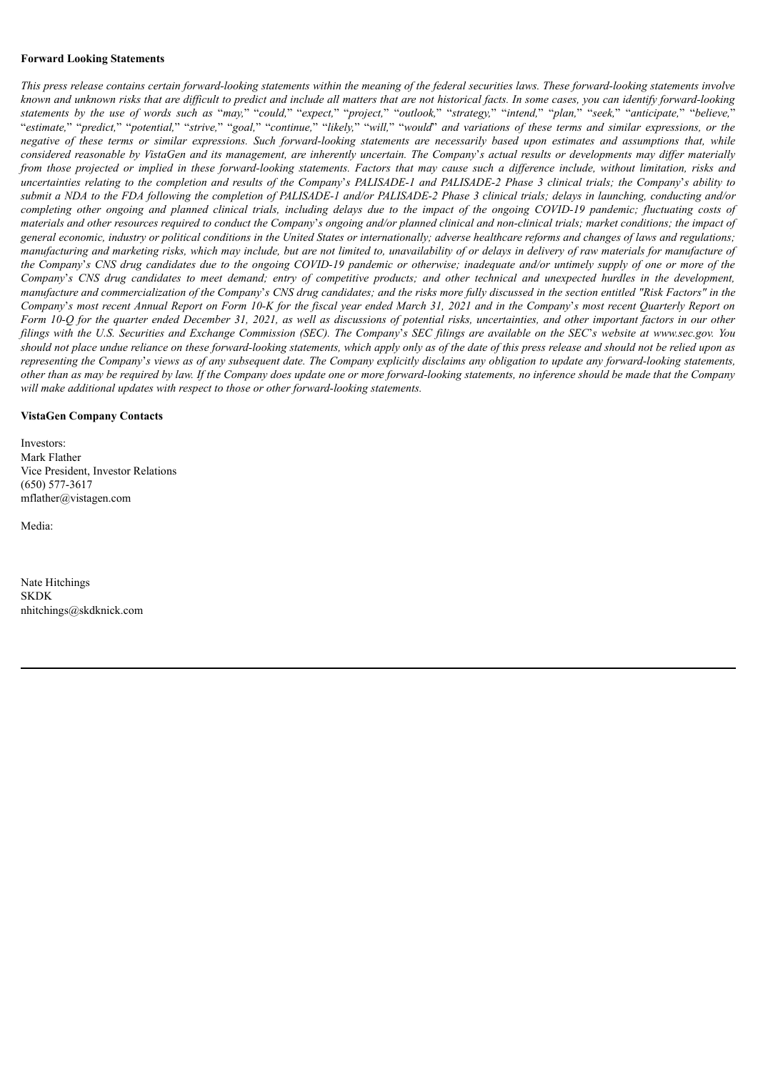#### **Forward Looking Statements**

This press release contains certain forward-looking statements within the meaning of the federal securities laws. These forward-looking statements involve known and unknown risks that are difficult to predict and include all matters that are not historical facts. In some cases, you can identify forward-looking statements by the use of words such as "may," "could," "expect," "project," "outlook," "strategy," "intend," "plan," "seek," "anticipate," "believe," "estimate," "predict," "potential," "strive," "goal," "continue," "likely," "will," "would" and variations of these terms and similar expressions, or the negative of these terms or similar expressions. Such forward-looking statements are necessarily based upon estimates and assumptions that, while considered reasonable by VistaGen and its management, are inherently uncertain. The Company's actual results or developments may differ materially from those projected or implied in these forward-looking statements. Factors that may cause such a difference include, without limitation, risks and uncertainties relating to the completion and results of the Company's PALISADE-1 and PALISADE-2 Phase 3 clinical trials; the Company's ability to submit a NDA to the FDA following the completion of PALISADE-1 and/or PALISADE-2 Phase 3 clinical trials; delays in launching, conducting and/or completing other ongoing and planned clinical trials, including delays due to the impact of the ongoing COVID-19 pandemic; fluctuating costs of materials and other resources required to conduct the Company's ongoing and/or planned clinical and non-clinical trials; market conditions; the impact of general economic, industry or political conditions in the United States or internationally; adverse healthcare reforms and changes of laws and regulations; manufacturing and marketing risks, which may include, but are not limited to, unavailability of or delays in delivery of raw materials for manufacture of the Company's CNS drug candidates due to the ongoing COVID-19 pandemic or otherwise; inadequate and/or untimely supply of one or more of the Company's CNS drug candidates to meet demand; entry of competitive products; and other technical and unexpected hurdles in the development, manufacture and commercialization of the Company's CNS drug candidates; and the risks more fully discussed in the section entitled "Risk Factors" in the Company's most recent Annual Report on Form 10-K for the fiscal year ended March 31, 2021 and in the Company's most recent Quarterly Report on Form 10-Q for the quarter ended December 31, 2021, as well as discussions of potential risks, uncertainties, and other important factors in our other filings with the U.S. Securities and Exchange Commission (SEC). The Company's SEC filings are available on the SEC's website at www.sec.gov. You should not place undue reliance on these forward-looking statements, which apply only as of the date of this press release and should not be relied upon as representing the Company's views as of any subsequent date. The Company explicitly disclaims any obligation to update any forward-looking statements, other than as may be required by law. If the Company does update one or more forward-looking statements, no inference should be made that the Company *will make additional updates with respect to those or other forward-looking statements.*

#### **VistaGen Company Contacts**

Investors: Mark Flather Vice President, Investor Relations (650) 577-3617 mflather@vistagen.com

Media:

Nate Hitchings **SKDK** nhitchings@skdknick.com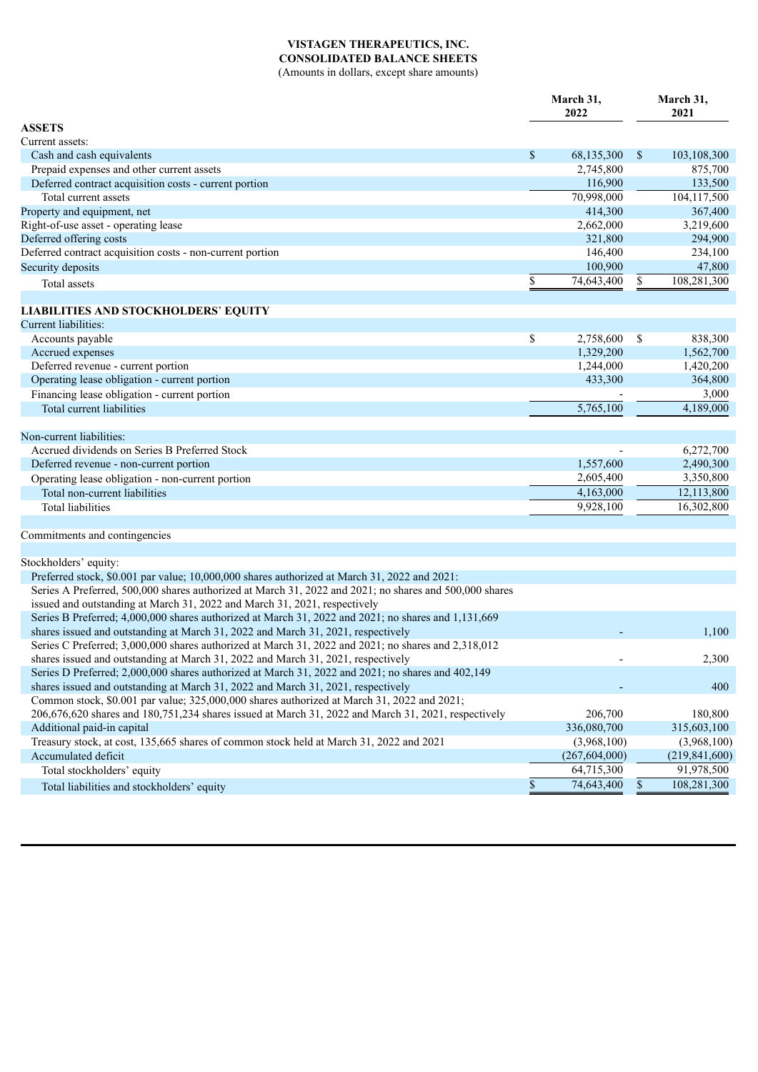## **VISTAGEN THERAPEUTICS, INC. CONSOLIDATED BALANCE SHEETS**

(Amounts in dollars, except share amounts)

|                                                                                                        | March 31,<br>2022       | March 31,<br>2021 |
|--------------------------------------------------------------------------------------------------------|-------------------------|-------------------|
| <b>ASSETS</b>                                                                                          |                         |                   |
| Current assets:                                                                                        |                         |                   |
| Cash and cash equivalents                                                                              | \$<br>68,135,300        | \$<br>103,108,300 |
| Prepaid expenses and other current assets                                                              | 2,745,800               | 875,700           |
| Deferred contract acquisition costs - current portion                                                  | 116,900                 | 133,500           |
| Total current assets                                                                                   | $\overline{70,998,000}$ | 104,117,500       |
| Property and equipment, net                                                                            | 414,300                 | 367,400           |
| Right-of-use asset - operating lease                                                                   | 2,662,000               | 3,219,600         |
| Deferred offering costs                                                                                | 321,800                 | 294,900           |
| Deferred contract acquisition costs - non-current portion                                              | 146,400                 | 234,100           |
| Security deposits                                                                                      | 100,900                 | 47,800            |
| Total assets                                                                                           | \$<br>74,643,400        | \$<br>108,281,300 |
| <b>LIABILITIES AND STOCKHOLDERS' EQUITY</b>                                                            |                         |                   |
| Current liabilities:                                                                                   |                         |                   |
| Accounts payable                                                                                       | \$<br>2,758,600         | \$<br>838,300     |
| Accrued expenses                                                                                       | 1,329,200               | 1,562,700         |
| Deferred revenue - current portion                                                                     | 1,244,000               | 1,420,200         |
| Operating lease obligation - current portion                                                           | 433,300                 | 364,800           |
| Financing lease obligation - current portion                                                           |                         | 3,000             |
| Total current liabilities                                                                              | 5,765,100               | 4,189,000         |
| Non-current liabilities:                                                                               |                         |                   |
| Accrued dividends on Series B Preferred Stock                                                          |                         | 6,272,700         |
| Deferred revenue - non-current portion                                                                 | 1,557,600               | 2,490,300         |
| Operating lease obligation - non-current portion                                                       | 2,605,400               | 3,350,800         |
| Total non-current liabilities                                                                          | 4,163,000               | 12,113,800        |
| <b>Total liabilities</b>                                                                               | 9,928,100               | 16,302,800        |
|                                                                                                        |                         |                   |
| Commitments and contingencies                                                                          |                         |                   |
| Stockholders' equity:                                                                                  |                         |                   |
| Preferred stock, \$0.001 par value; 10,000,000 shares authorized at March 31, 2022 and 2021:           |                         |                   |
| Series A Preferred, 500,000 shares authorized at March 31, 2022 and 2021; no shares and 500,000 shares |                         |                   |
| issued and outstanding at March 31, 2022 and March 31, 2021, respectively                              |                         |                   |
| Series B Preferred; 4,000,000 shares authorized at March 31, 2022 and 2021; no shares and 1,131,669    |                         |                   |
| shares issued and outstanding at March 31, 2022 and March 31, 2021, respectively                       |                         | 1,100             |
| Series C Preferred; 3,000,000 shares authorized at March 31, 2022 and 2021; no shares and 2,318,012    |                         |                   |
| shares issued and outstanding at March 31, 2022 and March 31, 2021, respectively                       |                         | 2,300             |
| Series D Preferred; 2,000,000 shares authorized at March 31, 2022 and 2021; no shares and 402,149      |                         |                   |
| shares issued and outstanding at March 31, 2022 and March 31, 2021, respectively                       |                         | 400               |
| Common stock, \$0.001 par value; 325,000,000 shares authorized at March 31, 2022 and 2021;             |                         |                   |
| 206,676,620 shares and 180,751,234 shares issued at March 31, 2022 and March 31, 2021, respectively    | 206,700                 | 180,800           |
| Additional paid-in capital                                                                             | 336,080,700             | 315,603,100       |
| Treasury stock, at cost, 135,665 shares of common stock held at March 31, 2022 and 2021                | (3,968,100)             | (3,968,100)       |
| Accumulated deficit                                                                                    | (267, 604, 000)         | (219, 841, 600)   |
| Total stockholders' equity                                                                             | 64,715,300              | 91,978,500        |
| Total liabilities and stockholders' equity                                                             | \$<br>74,643,400        | \$<br>108,281,300 |
|                                                                                                        |                         |                   |